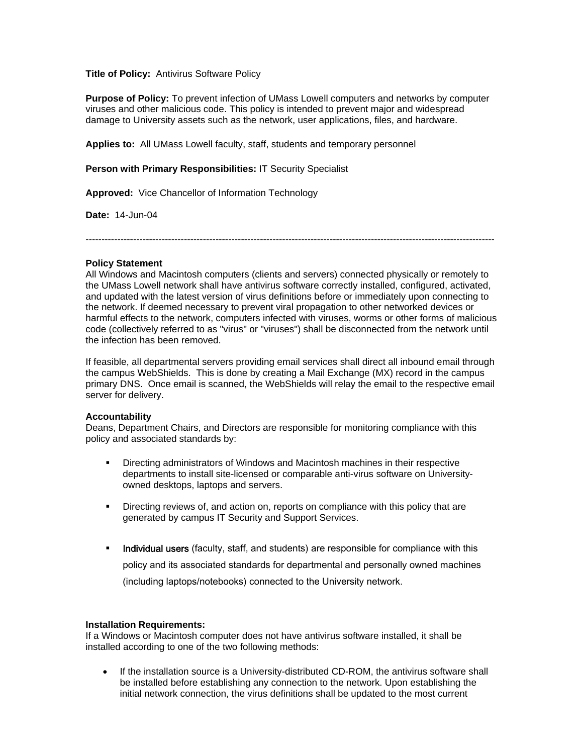## **Title of Policy:** Antivirus Software Policy

**Purpose of Policy:** To prevent infection of UMass Lowell computers and networks by computer viruses and other malicious code. This policy is intended to prevent major and widespread damage to University assets such as the network, user applications, files, and hardware.

**Applies to:** All UMass Lowell faculty, staff, students and temporary personnel

## **Person with Primary Responsibilities:** IT Security Specialist

**Approved:** Vice Chancellor of Information Technology

**Date:** 14-Jun-04

---------------------------------------------------------------------------------------------------------------------------------

# **Policy Statement**

All Windows and Macintosh computers (clients and servers) connected physically or remotely to the UMass Lowell network shall have antivirus software correctly installed, configured, activated, and updated with the latest version of virus definitions before or immediately upon connecting to the network. If deemed necessary to prevent viral propagation to other networked devices or harmful effects to the network, computers infected with viruses, worms or other forms of malicious code (collectively referred to as "virus" or "viruses") shall be disconnected from the network until the infection has been removed.

If feasible, all departmental servers providing email services shall direct all inbound email through the campus WebShields. This is done by creating a Mail Exchange (MX) record in the campus primary DNS. Once email is scanned, the WebShields will relay the email to the respective email server for delivery.

#### **Accountability**

Deans, Department Chairs, and Directors are responsible for monitoring compliance with this policy and associated standards by:

- Directing administrators of Windows and Macintosh machines in their respective departments to install site-licensed or comparable anti-virus software on Universityowned desktops, laptops and servers.
- Directing reviews of, and action on, reports on compliance with this policy that are generated by campus IT Security and Support Services.
- Individual users (faculty, staff, and students) are responsible for compliance with this policy and its associated standards for departmental and personally owned machines (including laptops/notebooks) connected to the University network.

#### **Installation Requirements:**

If a Windows or Macintosh computer does not have antivirus software installed, it shall be installed according to one of the two following methods:

• If the installation source is a University-distributed CD-ROM, the antivirus software shall be installed before establishing any connection to the network. Upon establishing the initial network connection, the virus definitions shall be updated to the most current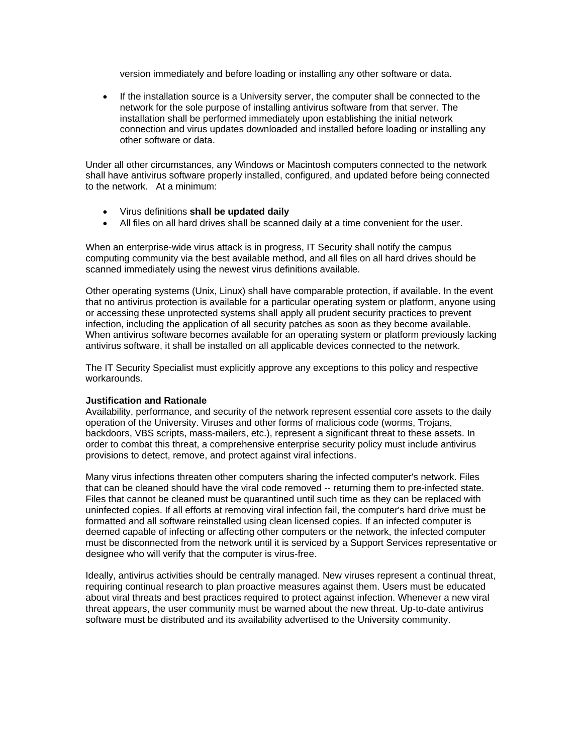version immediately and before loading or installing any other software or data.

• If the installation source is a University server, the computer shall be connected to the network for the sole purpose of installing antivirus software from that server. The installation shall be performed immediately upon establishing the initial network connection and virus updates downloaded and installed before loading or installing any other software or data.

Under all other circumstances, any Windows or Macintosh computers connected to the network shall have antivirus software properly installed, configured, and updated before being connected to the network. At a minimum:

- Virus definitions **shall be updated daily**
- All files on all hard drives shall be scanned daily at a time convenient for the user.

When an enterprise-wide virus attack is in progress, IT Security shall notify the campus computing community via the best available method, and all files on all hard drives should be scanned immediately using the newest virus definitions available.

Other operating systems (Unix, Linux) shall have comparable protection, if available. In the event that no antivirus protection is available for a particular operating system or platform, anyone using or accessing these unprotected systems shall apply all prudent security practices to prevent infection, including the application of all security patches as soon as they become available. When antivirus software becomes available for an operating system or platform previously lacking antivirus software, it shall be installed on all applicable devices connected to the network.

The IT Security Specialist must explicitly approve any exceptions to this policy and respective workarounds.

#### **Justification and Rationale**

Availability, performance, and security of the network represent essential core assets to the daily operation of the University. Viruses and other forms of malicious code (worms, Trojans, backdoors, VBS scripts, mass-mailers, etc.), represent a significant threat to these assets. In order to combat this threat, a comprehensive enterprise security policy must include antivirus provisions to detect, remove, and protect against viral infections.

Many virus infections threaten other computers sharing the infected computer's network. Files that can be cleaned should have the viral code removed -- returning them to pre-infected state. Files that cannot be cleaned must be quarantined until such time as they can be replaced with uninfected copies. If all efforts at removing viral infection fail, the computer's hard drive must be formatted and all software reinstalled using clean licensed copies. If an infected computer is deemed capable of infecting or affecting other computers or the network, the infected computer must be disconnected from the network until it is serviced by a Support Services representative or designee who will verify that the computer is virus-free.

Ideally, antivirus activities should be centrally managed. New viruses represent a continual threat, requiring continual research to plan proactive measures against them. Users must be educated about viral threats and best practices required to protect against infection. Whenever a new viral threat appears, the user community must be warned about the new threat. Up-to-date antivirus software must be distributed and its availability advertised to the University community.